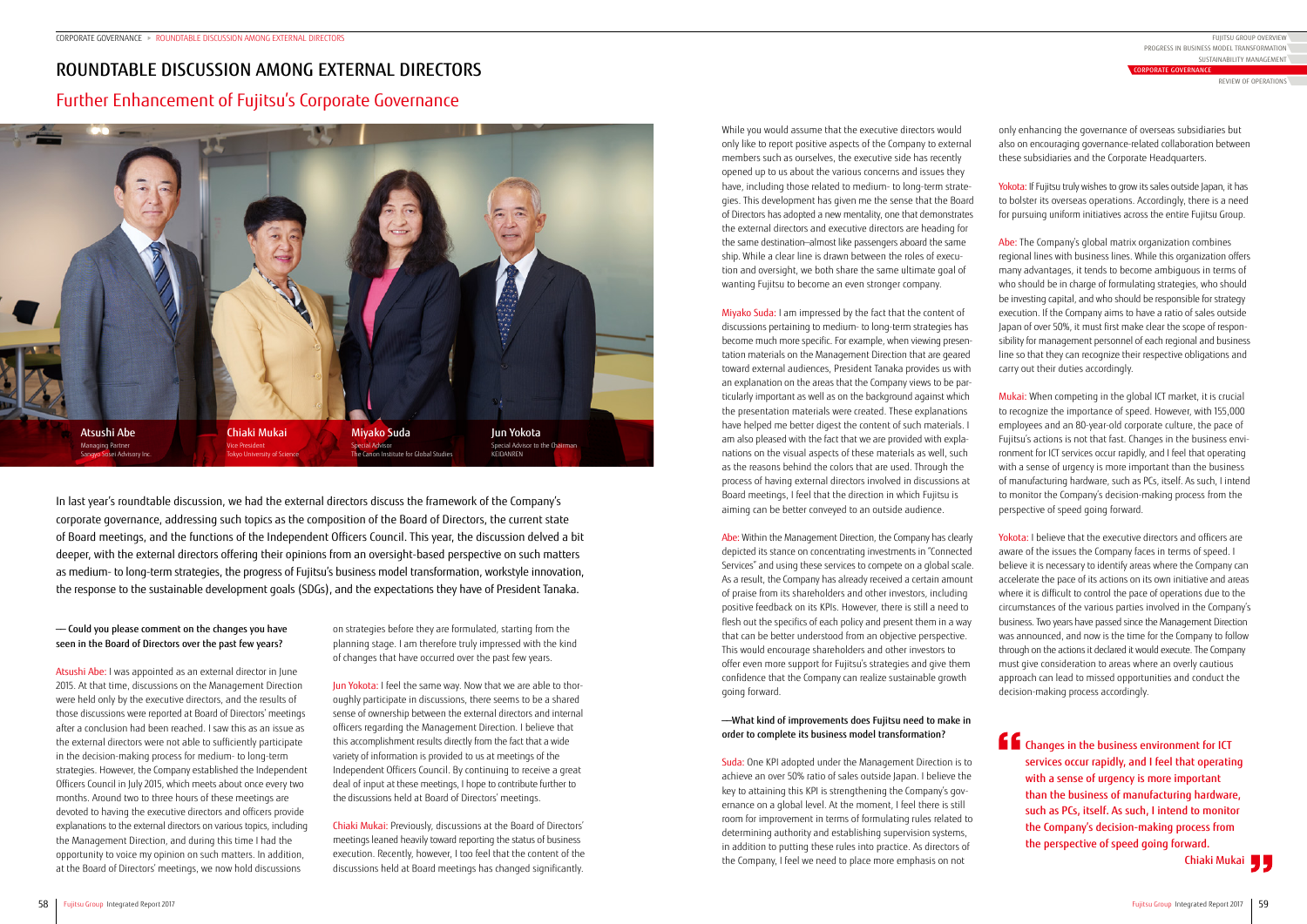

In last year's roundtable discussion, we had the external directors discuss the framework of the Company's corporate governance, addressing such topics as the composition of the Board of Directors, the current state of Board meetings, and the functions of the Independent Officers Council. This year, the discussion delved a bit deeper, with the external directors offering their opinions from an oversight-based perspective on such matters as medium- to long-term strategies, the progress of Fujitsu's business model transformation, workstyle innovation, the response to the sustainable development goals (SDGs), and the expectations they have of President Tanaka.

Yokota: If Fujitsu truly wishes to grow its sales outside Japan, it has to bolster its overseas operations. Accordingly, there is a need for pursuing uniform initiatives across the entire Fujitsu Group.

# ROUNDTABLE DISCUSSION AMONG EXTERNAL DIRECTORS Further Enhancement of Fujitsu's Corporate Governance

only enhancing the governance of overseas subsidiaries but also on encouraging governance-related collaboration between these subsidiaries and the Corporate Headquarters.

Yokota: I believe that the executive directors and officers are aware of the issues the Company faces in terms of speed. I believe it is necessary to identify areas where the Company can accelerate the pace of its actions on its own initiative and areas where it is difficult to control the pace of operations due to the circumstances of the various parties involved in the Company's business. Two years have passed since the Management Direction was announced, and now is the time for the Company to follow through on the actions it declared it would execute. The Company must give consideration to areas where an overly cautious approach can lead to missed opportunities and conduct the decision-making process accordingly.

Abe: The Company's global matrix organization combines regional lines with business lines. While this organization offers many advantages, it tends to become ambiguous in terms of who should be in charge of formulating strategies, who should be investing capital, and who should be responsible for strategy execution. If the Company aims to have a ratio of sales outside Japan of over 50%, it must first make clear the scope of responsibility for management personnel of each regional and business line so that they can recognize their respective obligations and carry out their duties accordingly.

Jun Yokota: I feel the same way. Now that we are able to thoroughly participate in discussions, there seems to be a shared sense of ownership between the external directors and internal officers regarding the Management Direction. I believe that this accomplishment results directly from the fact that a wide variety of information is provided to us at meetings of the Independent Officers Council. By continuing to receive a great deal of input at these meetings, I hope to contribute further to the discussions held at Board of Directors' meetings.

Mukai: When competing in the global ICT market, it is crucial to recognize the importance of speed. However, with 155,000 employees and an 80-year-old corporate culture, the pace of Fujitsu's actions is not that fast. Changes in the business environment for ICT services occur rapidly, and I feel that operating with a sense of urgency is more important than the business of manufacturing hardware, such as PCs, itself. As such, I intend to monitor the Company's decision-making process from the perspective of speed going forward.

on strategies before they are formulated, starting from the planning stage. I am therefore truly impressed with the kind of changes that have occurred over the past few years.

Chiaki Mukai: Previously, discussions at the Board of Directors' meetings leaned heavily toward reporting the status of business execution. Recently, however, I too feel that the content of the discussions held at Board meetings has changed significantly.

While you would assume that the executive directors would only like to report positive aspects of the Company to external members such as ourselves, the executive side has recently opened up to us about the various concerns and issues they have, including those related to medium- to long-term strategies. This development has given me the sense that the Board of Directors has adopted a new mentality, one that demonstrates the external directors and executive directors are heading for the same destination—almost like passengers aboard the same ship. While a clear line is drawn between the roles of execution and oversight, we both share the same ultimate goal of wanting Fujitsu to become an even stronger company.

Miyako Suda: I am impressed by the fact that the content of discussions pertaining to medium- to long-term strategies has become much more specific. For example, when viewing presentation materials on the Management Direction that are geared toward external audiences, President Tanaka provides us with an explanation on the areas that the Company views to be particularly important as well as on the background against which the presentation materials were created. These explanations have helped me better digest the content of such materials. I am also pleased with the fact that we are provided with explanations on the visual aspects of these materials as well, such as the reasons behind the colors that are used. Through the process of having external directors involved in discussions at Board meetings, I feel that the direction in which Fujitsu is aiming can be better conveyed to an outside audience.

Abe: Within the Management Direction, the Company has clearly depicted its stance on concentrating investments in "Connected Services" and using these services to compete on a global scale. As a result, the Company has already received a certain amount of praise from its shareholders and other investors, including positive feedback on its KPIs. However, there is still a need to flesh out the specifics of each policy and present them in a way that can be better understood from an objective perspective. This would encourage shareholders and other investors to offer even more support for Fujitsu's strategies and give them confidence that the Company can realize sustainable growth going forward.

## ――What kind of improvements does Fujitsu need to make in order to complete its business model transformation?

Suda: One KPI adopted under the Management Direction is to achieve an over 50% ratio of sales outside Japan. I believe the key to attaining this KPI is strengthening the Company's governance on a global level. At the moment, I feel there is still room for improvement in terms of formulating rules related to determining authority and establishing supervision systems, in addition to putting these rules into practice. As directors of the Company, I feel we need to place more emphasis on not

## ―― Could you please comment on the changes you have seen in the Board of Directors over the past few years?

Atsushi Abe: I was appointed as an external director in June 2015. At that time, discussions on the Management Direction were held only by the executive directors, and the results of those discussions were reported at Board of Directors' meetings after a conclusion had been reached. I saw this as an issue as the external directors were not able to sufficiently participate in the decision-making process for medium- to long-term strategies. However, the Company established the Independent Officers Council in July 2015, which meets about once every two months. Around two to three hours of these meetings are devoted to having the executive directors and officers provide explanations to the external directors on various topics, including the Management Direction, and during this time I had the opportunity to voice my opinion on such matters. In addition, at the Board of Directors' meetings, we now hold discussions

Changes in the business environment for ICT services occur rapidly, and I feel that operating with a sense of urgency is more important than the business of manufacturing hardware, such as PCs, itself. As such, I intend to monitor the Company's decision-making process from the perspective of speed going forward.

Chiaki Mukai

FUJITSU GROUP OVERVIEW SUSTAINABILITY MANAGEMENT PROGRESS IN BUSINESS MODEL TRANSFORMATION

CORPORATE GOVERNANCE

REVIEW OF OPERATIONS